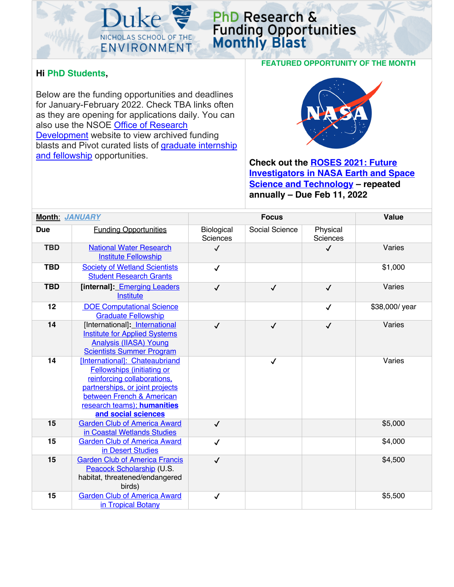

## PhD Research & **Funding Opportunities**<br>**Monthly Blast**

## **Hi PhD Students,**

Below are the funding opportunities and deadlines for January-February 2022. Check TBA links often as they are opening for applications daily. You can also use the NSOE Office of Research Development website to view archived funding blasts and Pivot curated lists of graduate internship and fellowship opportunities.



**FEATURED OPPORTUNITY OF THE MONTH**

**Check out the ROSES 2021: Future Investigators in NASA Earth and Space Science and Technology – repeated annually – Due Feb 11, 2022**

| <b>Month: JANUARY</b> |                                                                                                                                                                                                                   |                        | <b>Value</b>   |                      |                |
|-----------------------|-------------------------------------------------------------------------------------------------------------------------------------------------------------------------------------------------------------------|------------------------|----------------|----------------------|----------------|
| <b>Due</b>            | <b>Funding Opportunities</b>                                                                                                                                                                                      | Biological<br>Sciences | Social Science | Physical<br>Sciences |                |
| <b>TBD</b>            | <b>National Water Research</b><br><b>Institute Fellowship</b>                                                                                                                                                     | $\checkmark$           |                | $\checkmark$         | Varies         |
| <b>TBD</b>            | <b>Society of Wetland Scientists</b><br><b>Student Research Grants</b>                                                                                                                                            | $\checkmark$           |                |                      | \$1,000        |
| <b>TBD</b>            | [internal]: Emerging Leaders<br><b>Institute</b>                                                                                                                                                                  | $\checkmark$           | $\checkmark$   | $\checkmark$         | Varies         |
| 12                    | <b>DOE Computational Science</b><br><b>Graduate Fellowship</b>                                                                                                                                                    |                        |                | $\checkmark$         | \$38,000/ year |
| 14                    | [International]: International<br><b>Institute for Applied Systems</b><br><b>Analysis (IIASA) Young</b><br><b>Scientists Summer Program</b>                                                                       | $\checkmark$           | $\checkmark$   | $\checkmark$         | Varies         |
| 14                    | [International]: Chateaubriand<br>Fellowships (initiating or<br>reinforcing collaborations,<br>partnerships, or joint projects<br>between French & American<br>research teams); humanities<br>and social sciences |                        | ✓              |                      | Varies         |
| 15                    | <b>Garden Club of America Award</b><br>in Coastal Wetlands Studies                                                                                                                                                | $\checkmark$           |                |                      | \$5,000        |
| 15                    | <b>Garden Club of America Award</b><br>in Desert Studies                                                                                                                                                          | $\checkmark$           |                |                      | \$4,000        |
| 15                    | <b>Garden Club of America Francis</b><br>Peacock Scholarship (U.S.<br>habitat, threatened/endangered<br>birds)                                                                                                    | $\checkmark$           |                |                      | \$4,500        |
| 15                    | <b>Garden Club of America Award</b><br>in Tropical Botany                                                                                                                                                         | ✓                      |                |                      | \$5,500        |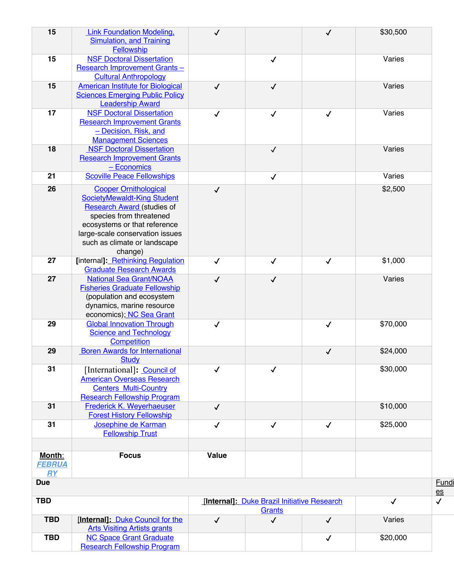| 15                            | <b>Link Foundation Modeling,</b><br><b>Simulation, and Training</b><br>Fellowship                                                                                                                                                         | $\checkmark$ |                                                              | $\checkmark$ | \$30,500     |                      |
|-------------------------------|-------------------------------------------------------------------------------------------------------------------------------------------------------------------------------------------------------------------------------------------|--------------|--------------------------------------------------------------|--------------|--------------|----------------------|
| 15                            | <b>NSF Doctoral Dissertation</b><br>Research Improvement Grants-<br><b>Cultural Anthropology</b>                                                                                                                                          |              | $\checkmark$                                                 |              | Varies       |                      |
| 15                            | <b>American Institute for Biological</b><br><b>Sciences Emerging Public Policy</b><br><b>Leadership Award</b>                                                                                                                             | $\checkmark$ | $\checkmark$                                                 |              | Varies       |                      |
| 17                            | <b>NSF Doctoral Dissertation</b><br><b>Research Improvement Grants</b><br>- Decision, Risk, and<br><b>Management Sciences</b>                                                                                                             | $\checkmark$ | $\checkmark$                                                 | $\checkmark$ | Varies       |                      |
| 18                            | <b>NSF Doctoral Dissertation</b><br><b>Research Improvement Grants</b><br>$-$ Economics                                                                                                                                                   |              | $\checkmark$                                                 |              | Varies       |                      |
| 21                            | <b>Scoville Peace Fellowships</b>                                                                                                                                                                                                         |              | $\checkmark$                                                 |              | Varies       |                      |
| 26                            | <b>Cooper Ornithological</b><br>SocietyMewaldt-King Student<br><b>Research Award (studies of</b><br>species from threatened<br>ecosystems or that reference<br>large-scale conservation issues<br>such as climate or landscape<br>change) | $\checkmark$ |                                                              |              | \$2,500      |                      |
| 27                            | [internal]: Rethinking Regulation<br><b>Graduate Research Awards</b>                                                                                                                                                                      | $\checkmark$ | $\checkmark$                                                 | $\checkmark$ | \$1,000      |                      |
| 27                            | <b>National Sea Grant/NOAA</b><br><b>Fisheries Graduate Fellowship</b><br>(population and ecosystem<br>dynamics, marine resource<br>economics); NC Sea Grant                                                                              | $\checkmark$ | $\checkmark$                                                 |              | Varies       |                      |
| 29                            | <b>Global Innovation Through</b><br><b>Science and Technology</b><br><b>Competition</b>                                                                                                                                                   | $\checkmark$ |                                                              | $\checkmark$ | \$70,000     |                      |
| 29                            | <b>Boren Awards for International</b><br>Study                                                                                                                                                                                            |              |                                                              | $\checkmark$ | \$24,000     |                      |
| 31                            | [International]: Council of<br><b>American Overseas Research</b><br><b>Centers Multi-Country</b><br><b>Research Fellowship Program</b>                                                                                                    | $\checkmark$ | $\checkmark$                                                 |              | \$30,000     |                      |
| 31                            | <b>Frederick K. Weyerhaeuser</b><br><b>Forest History Fellowship</b>                                                                                                                                                                      | $\checkmark$ |                                                              |              | \$10,000     |                      |
| 31                            | Josephine de Karman<br><b>Fellowship Trust</b>                                                                                                                                                                                            | $\checkmark$ | $\checkmark$                                                 | $\checkmark$ | \$25,000     |                      |
| Month:<br><b>FEBRUA</b><br>RY | <b>Focus</b>                                                                                                                                                                                                                              | Value        |                                                              |              |              |                      |
| <b>Due</b>                    |                                                                                                                                                                                                                                           |              |                                                              |              |              | <b>Fundi</b><br>$es$ |
| <b>TBD</b>                    |                                                                                                                                                                                                                                           |              | <b>[Internal]: Duke Brazil Initiative Research</b><br>Grants |              | $\checkmark$ | $\checkmark$         |
| <b>TBD</b>                    | [Internal]: Duke Council for the<br><b>Arts Visiting Artists grants</b>                                                                                                                                                                   | $\checkmark$ | $\checkmark$                                                 | $\checkmark$ | Varies       |                      |
| <b>TBD</b>                    | <b>NC Space Grant Graduate</b><br><b>Research Fellowship Program</b>                                                                                                                                                                      |              |                                                              | $\checkmark$ | \$20,000     |                      |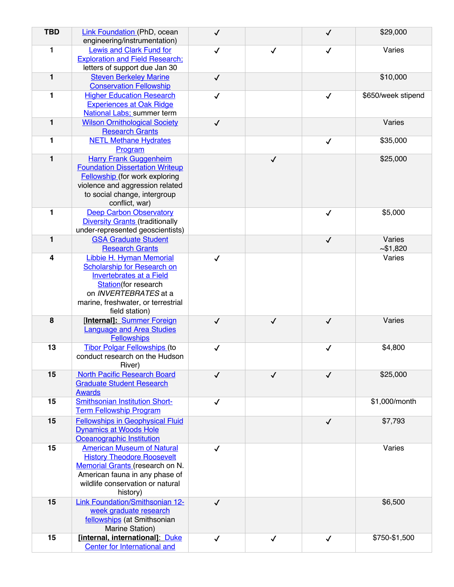| <b>TBD</b>              | <b>Link Foundation (PhD, ocean</b>                                       | $\checkmark$ |              | ✓            | \$29,000           |
|-------------------------|--------------------------------------------------------------------------|--------------|--------------|--------------|--------------------|
|                         | engineering/instrumentation)                                             |              |              |              |                    |
| 1                       | <b>Lewis and Clark Fund for</b>                                          | $\checkmark$ | ✓            | $\checkmark$ | Varies             |
|                         | <b>Exploration and Field Research;</b>                                   |              |              |              |                    |
|                         | letters of support due Jan 30                                            |              |              |              |                    |
| $\mathbf{1}$            | <b>Steven Berkeley Marine</b><br><b>Conservation Fellowship</b>          | $\checkmark$ |              |              | \$10,000           |
| 1                       | <b>Higher Education Research</b>                                         | $\checkmark$ |              | $\checkmark$ | \$650/week stipend |
|                         | <b>Experiences at Oak Ridge</b>                                          |              |              |              |                    |
|                         | <b>National Labs: summer term</b>                                        |              |              |              |                    |
| $\mathbf{1}$            | <b>Wilson Ornithological Society</b><br><b>Research Grants</b>           | $\checkmark$ |              |              | Varies             |
| 1                       | <b>NETL Methane Hydrates</b>                                             |              |              | $\checkmark$ | \$35,000           |
|                         | Program                                                                  |              |              |              |                    |
| $\mathbf{1}$            | <b>Harry Frank Guggenheim</b>                                            |              | $\checkmark$ |              | \$25,000           |
|                         | <b>Foundation Dissertation Writeup</b>                                   |              |              |              |                    |
|                         | <b>Fellowship</b> (for work exploring                                    |              |              |              |                    |
|                         | violence and aggression related                                          |              |              |              |                    |
|                         | to social change, intergroup                                             |              |              |              |                    |
|                         | conflict, war)                                                           |              |              |              |                    |
| 1                       | <b>Deep Carbon Observatory</b><br><b>Diversity Grants (traditionally</b> |              |              | $\checkmark$ | \$5,000            |
|                         | under-represented geoscientists)                                         |              |              |              |                    |
| $\mathbf{1}$            | <b>GSA Graduate Student</b>                                              |              |              | $\checkmark$ | Varies             |
|                         | <b>Research Grants</b>                                                   |              |              |              | ~1,820             |
| $\overline{\mathbf{4}}$ | Libbie H. Hyman Memorial                                                 | $\checkmark$ |              |              | Varies             |
|                         | <b>Scholarship for Research on</b>                                       |              |              |              |                    |
|                         | <b>Invertebrates at a Field</b>                                          |              |              |              |                    |
|                         | Station(for research                                                     |              |              |              |                    |
|                         | on INVERTEBRATES at a                                                    |              |              |              |                    |
|                         | marine, freshwater, or terrestrial                                       |              |              |              |                    |
|                         | field station)                                                           |              |              |              |                    |
| $\pmb{8}$               | [Internal]: Summer Foreign                                               | $\checkmark$ | $\checkmark$ | $\checkmark$ | Varies             |
|                         | anguage and Area Studies                                                 |              |              |              |                    |
|                         | <b>Fellowships</b>                                                       |              |              |              |                    |
| 13                      | <b>Tibor Polgar Fellowships (to</b>                                      | $\checkmark$ |              | ✓            | \$4,800            |
|                         | conduct research on the Hudson                                           |              |              |              |                    |
|                         | River)                                                                   |              |              |              |                    |
| 15                      | <b>North Pacific Research Board</b>                                      | $\checkmark$ | $\checkmark$ | $\checkmark$ | \$25,000           |
|                         | <b>Graduate Student Research</b><br><b>Awards</b>                        |              |              |              |                    |
| 15                      | <b>Smithsonian Institution Short-</b>                                    |              |              |              | \$1,000/month      |
|                         | <b>Term Fellowship Program</b>                                           | $\checkmark$ |              |              |                    |
| 15                      | <b>Fellowships in Geophysical Fluid</b>                                  |              |              |              | \$7,793            |
|                         | <b>Dynamics at Woods Hole</b>                                            |              |              | $\checkmark$ |                    |
|                         | Oceanographic Institution                                                |              |              |              |                    |
| 15                      | <b>American Museum of Natural</b>                                        | $\checkmark$ |              |              | Varies             |
|                         | <b>History Theodore Roosevelt</b>                                        |              |              |              |                    |
|                         | Memorial Grants (research on N.                                          |              |              |              |                    |
|                         | American fauna in any phase of                                           |              |              |              |                    |
|                         | wildlife conservation or natural                                         |              |              |              |                    |
|                         | history)                                                                 |              |              |              |                    |
| 15                      | <b>Link Foundation/Smithsonian 12-</b>                                   | $\checkmark$ |              |              | \$6,500            |
|                         | week graduate research                                                   |              |              |              |                    |
|                         | fellowships (at Smithsonian                                              |              |              |              |                    |
|                         | Marine Station)                                                          |              |              |              |                    |
| 15                      | [internal, international]: Duke                                          | $\checkmark$ | $\checkmark$ | $\checkmark$ | \$750-\$1,500      |
|                         | <b>Center for International and</b>                                      |              |              |              |                    |